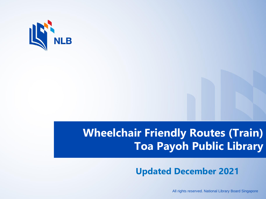

## **Wheelchair Friendly Routes (Train) Toa Payoh Public Library**

## **Updated December 2021**

All rights reserved. National Library Board Singapore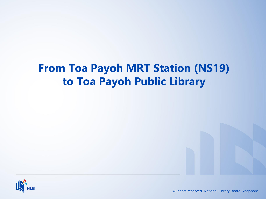## **From Toa Payoh MRT Station (NS19) to Toa Payoh Public Library**



All rights reserved. National Library Board Singapore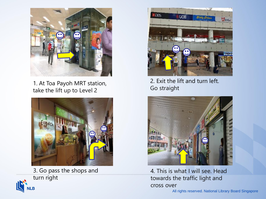

1. At Toa Payoh MRT station, take the lift up to Level 2



3. Go pass the shops and turn right





2. Exit the lift and turn left. Go straight



4. This is what I will see. Head towards the traffic light and cross over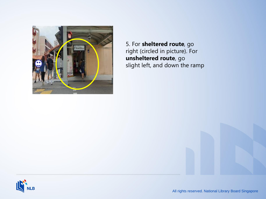

5. For **sheltered route**, go right (circled in picture). For **unsheltered route**, go slight left, and down the ramp

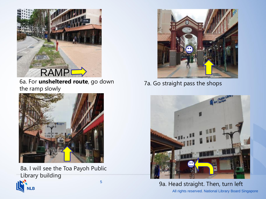

6a. For **unsheltered route**, go down the ramp slowly



5 8a. I will see the Toa Payoh Public Library building



7a. Go straight pass the shops



All rights reserved. National Library Board Singapore 9a. Head straight. Then, turn left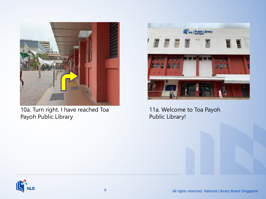

10a. Turn right. I have reached Toa Payoh Public Library



11a. Welcome to Toa Payoh Public Library!